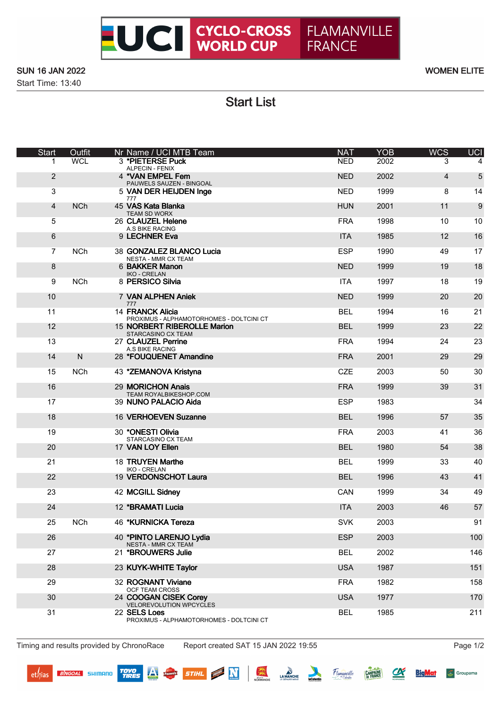

## Start List

| <b>Start</b>   | Outfit       |                                           | Nr Name / UCI MTB Team                                 | <b>NAT</b> | <b>YOB</b> | <b>WCS</b> | UCI   |
|----------------|--------------|-------------------------------------------|--------------------------------------------------------|------------|------------|------------|-------|
| 1              | <b>WCL</b>   | ALPECIN - FENIX                           | 3 *PIETERSE Puck                                       | <b>NED</b> | 2002       | 3          |       |
| $\overline{2}$ |              |                                           | 4 *VAN EMPEL Fem<br>PAUWELS SAUZEN - BINGOAL           | <b>NED</b> | 2002       | 4          | 5     |
| 3              |              | 777                                       | 5 VAN DER HEIJDEN Inge                                 | <b>NED</b> | 1999       | 8          | 14    |
| 4              | <b>NCh</b>   | 45 VAS Kata Blanka<br><b>TEAM SD WORX</b> |                                                        | <b>HUN</b> | 2001       | 11         | $9\,$ |
| 5              |              | 26 CLAUZEL Helene<br>A.S BIKE RACING      |                                                        | <b>FRA</b> | 1998       | 10         | 10    |
| 6              |              | 9 LECHNER Eva                             |                                                        | <b>ITA</b> | 1985       | 12         | 16    |
| 7              | <b>NCh</b>   |                                           | 38 GONZALEZ BLANCO Lucia<br><b>NESTA - MMR CX TEAM</b> | <b>ESP</b> | 1990       | 49         | 17    |
| 8              |              | 6 BAKKER Manon<br><b>IKO - CRELAN</b>     |                                                        | <b>NED</b> | 1999       | 19         | 18    |
| 9              | <b>NCh</b>   | 8 PERSICO Silvia                          |                                                        | <b>ITA</b> | 1997       | 18         | 19    |
| 10             |              | 777                                       | 7 VAN ALPHEN Aniek                                     | <b>NED</b> | 1999       | 20         | 20    |
| 11             |              | 14 FRANCK Alicia                          | PROXIMUS - ALPHAMOTORHOMES - DOLTCINI CT               | <b>BEL</b> | 1994       | 16         | 21    |
| 12             |              |                                           | 15 NORBERT RIBEROLLE Marion<br>STARCASINO CX TEAM      | <b>BEL</b> | 1999       | 23         | 22    |
| 13             |              | 27 CLAUZEL Perrine                        |                                                        | <b>FRA</b> | 1994       | 24         | 23    |
| 14             | $\mathsf{N}$ | A.S BIKE RACING                           | 28 *FOUQUENET Amandine                                 | <b>FRA</b> | 2001       | 29         | 29    |
| 15             | <b>NCh</b>   |                                           | 43 *ZEMANOVA Kristyna                                  | <b>CZE</b> | 2003       | 50         | 30    |
| 16             |              |                                           | 29 MORICHON Anais<br>TEAM ROYALBIKESHOP.COM            | <b>FRA</b> | 1999       | 39         | 31    |
| 17             |              |                                           | 39 NUNO PALACIO Aida                                   | <b>ESP</b> | 1983       |            | 34    |
| 18             |              |                                           | 16 VERHOEVEN Suzanne                                   | <b>BEL</b> | 1996       | 57         | 35    |
| 19             |              | 30 *ONESTI Olivia                         | STARCASINO CX TEAM                                     | <b>FRA</b> | 2003       | 41         | 36    |
| 20             |              | 17 VAN LOY Ellen                          |                                                        | <b>BEL</b> | 1980       | 54         | 38    |
| 21             |              | 18 TRUYEN Marthe<br><b>IKO - CRELAN</b>   |                                                        | <b>BEL</b> | 1999       | 33         | 40    |
| 22             |              |                                           | 19 VERDONSCHOT Laura                                   | <b>BEL</b> | 1996       | 43         | 41    |
| 23             |              | 42 MCGILL Sidney                          |                                                        | CAN        | 1999       | 34         | 49    |
| 24             |              | 12 *BRAMATI Lucia                         |                                                        | <b>ITA</b> | 2003       | 46         | 57    |
| 25             | <b>NCh</b>   |                                           | 46 *KURNICKA Tereza                                    | SVK        | 2003       |            | 91    |
| 26             |              |                                           | 40 *PINTO LARENJO Lydia<br>NESTA - MMR CX TEAM         | <b>ESP</b> | 2003       |            | 100   |
| 27             |              |                                           | 21 *BROUWERS Julie                                     | <b>BEL</b> | 2002       |            | 146   |
| 28             |              |                                           | 23 KUYK-WHITE Taylor                                   | <b>USA</b> | 1987       |            | 151   |
| 29             |              |                                           | 32 ROGNANT Viviane                                     | <b>FRA</b> | 1982       |            | 158   |
| 30             |              |                                           | OCF TEAM CROSS<br>24 COOGAN CISEK Corey                | <b>USA</b> | 1977       |            | 170   |
| 31             |              | 22 SELS Loes                              | VELOREVOLUTION WPCYCLES                                | <b>BEL</b> | 1985       |            | 211   |
|                |              |                                           | PROXIMUS - ALPHAMOTORHOMES - DOLTCINI CT               |            |            |            |       |

Timing and results provided by ChronoRace Report created SAT 15 JAN 2022 19:55 Page 1/2

**TOYO**<br>TIRES

T.

STIHL **OF N** 

**ANTEN DE LA MANCHE** 

Flamanville

 $\alpha$ 

**CAMPAGNE** 

**BigMat** 

Groupama